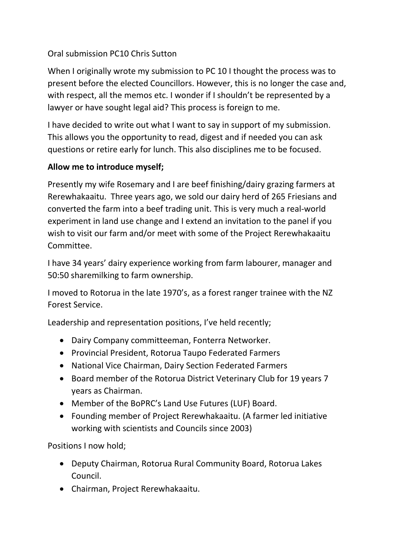### Oral submission PC10 Chris Sutton

When I originally wrote my submission to PC 10 I thought the process was to present before the elected Councillors. However, this is no longer the case and, with respect, all the memos etc. I wonder if I shouldn't be represented by a lawyer or have sought legal aid? This process is foreign to me.

I have decided to write out what I want to say in support of my submission. This allows you the opportunity to read, digest and if needed you can ask questions or retire early for lunch. This also disciplines me to be focused.

#### **Allow me to introduce myself;**

Presently my wife Rosemary and I are beef finishing/dairy grazing farmers at Rerewhakaaitu. Three years ago, we sold our dairy herd of 265 Friesians and converted the farm into a beef trading unit. This is very much a real-world experiment in land use change and I extend an invitation to the panel if you wish to visit our farm and/or meet with some of the Project Rerewhakaaitu Committee.

I have 34 years' dairy experience working from farm labourer, manager and 50:50 sharemilking to farm ownership.

I moved to Rotorua in the late 1970's, as a forest ranger trainee with the NZ Forest Service.

Leadership and representation positions, I've held recently;

- Dairy Company committeeman, Fonterra Networker.
- Provincial President, Rotorua Taupo Federated Farmers
- National Vice Chairman, Dairy Section Federated Farmers
- Board member of the Rotorua District Veterinary Club for 19 years 7 years as Chairman.
- Member of the BoPRC's Land Use Futures (LUF) Board.
- Founding member of Project Rerewhakaaitu. (A farmer led initiative working with scientists and Councils since 2003)

Positions I now hold;

- Deputy Chairman, Rotorua Rural Community Board, Rotorua Lakes Council.
- Chairman, Project Rerewhakaaitu.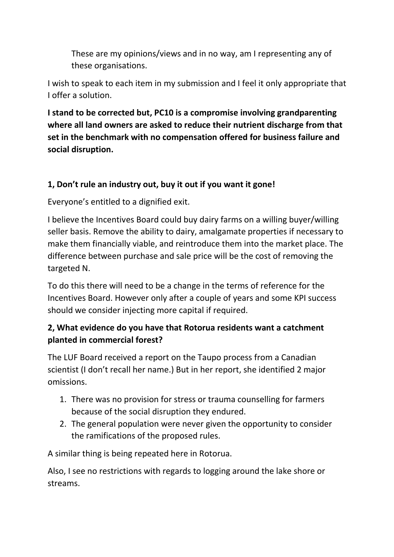These are my opinions/views and in no way, am I representing any of these organisations.

I wish to speak to each item in my submission and I feel it only appropriate that I offer a solution.

**I stand to be corrected but, PC10 is a compromise involving grandparenting where all land owners are asked to reduce their nutrient discharge from that set in the benchmark with no compensation offered for business failure and social disruption.**

### **1, Don't rule an industry out, buy it out if you want it gone!**

Everyone's entitled to a dignified exit.

I believe the Incentives Board could buy dairy farms on a willing buyer/willing seller basis. Remove the ability to dairy, amalgamate properties if necessary to make them financially viable, and reintroduce them into the market place. The difference between purchase and sale price will be the cost of removing the targeted N.

To do this there will need to be a change in the terms of reference for the Incentives Board. However only after a couple of years and some KPI success should we consider injecting more capital if required.

## **2, What evidence do you have that Rotorua residents want a catchment planted in commercial forest?**

The LUF Board received a report on the Taupo process from a Canadian scientist (I don't recall her name.) But in her report, she identified 2 major omissions.

- 1. There was no provision for stress or trauma counselling for farmers because of the social disruption they endured.
- 2. The general population were never given the opportunity to consider the ramifications of the proposed rules.

A similar thing is being repeated here in Rotorua.

Also, I see no restrictions with regards to logging around the lake shore or streams.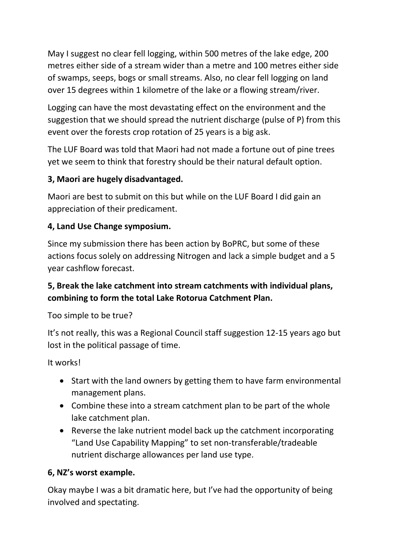May I suggest no clear fell logging, within 500 metres of the lake edge, 200 metres either side of a stream wider than a metre and 100 metres either side of swamps, seeps, bogs or small streams. Also, no clear fell logging on land over 15 degrees within 1 kilometre of the lake or a flowing stream/river.

Logging can have the most devastating effect on the environment and the suggestion that we should spread the nutrient discharge (pulse of P) from this event over the forests crop rotation of 25 years is a big ask.

The LUF Board was told that Maori had not made a fortune out of pine trees yet we seem to think that forestry should be their natural default option.

### **3, Maori are hugely disadvantaged.**

Maori are best to submit on this but while on the LUF Board I did gain an appreciation of their predicament.

### **4, Land Use Change symposium.**

Since my submission there has been action by BoPRC, but some of these actions focus solely on addressing Nitrogen and lack a simple budget and a 5 year cashflow forecast.

# **5, Break the lake catchment into stream catchments with individual plans, combining to form the total Lake Rotorua Catchment Plan.**

Too simple to be true?

It's not really, this was a Regional Council staff suggestion 12-15 years ago but lost in the political passage of time.

It works!

- Start with the land owners by getting them to have farm environmental management plans.
- Combine these into a stream catchment plan to be part of the whole lake catchment plan.
- Reverse the lake nutrient model back up the catchment incorporating "Land Use Capability Mapping" to set non-transferable/tradeable nutrient discharge allowances per land use type.

#### **6, NZ's worst example.**

Okay maybe I was a bit dramatic here, but I've had the opportunity of being involved and spectating.